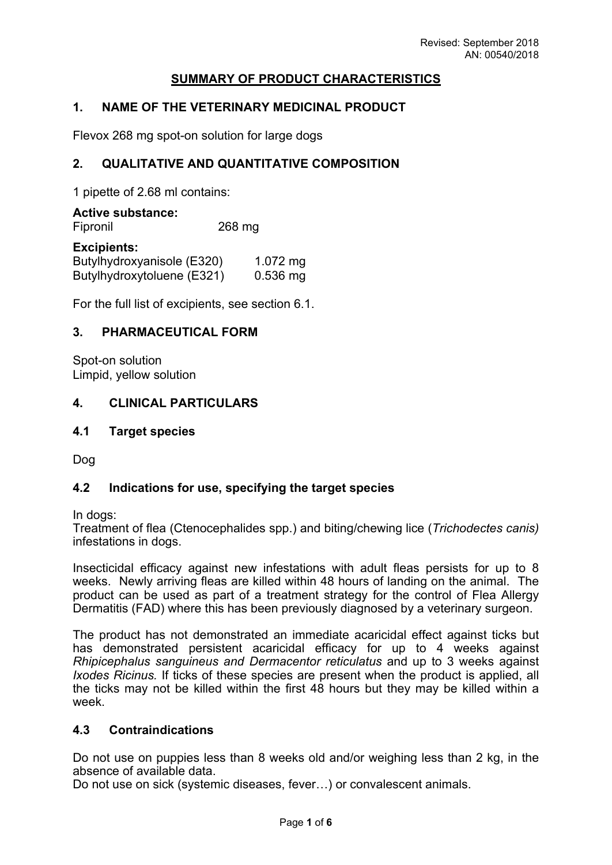## **SUMMARY OF PRODUCT CHARACTERISTICS**

## **1. NAME OF THE VETERINARY MEDICINAL PRODUCT**

Flevox 268 mg spot-on solution for large dogs

#### **2. QUALITATIVE AND QUANTITATIVE COMPOSITION**

1 pipette of 2.68 ml contains:

**Active substance:** Fipronil 268 mg

#### **Excipients:**

| Butylhydroxyanisole (E320) | 1.072 $mg$ |
|----------------------------|------------|
| Butylhydroxytoluene (E321) | $0.536$ mg |

For the full list of excipients, see section 6.1.

#### **3. PHARMACEUTICAL FORM**

Spot-on solution Limpid, yellow solution

#### **4. CLINICAL PARTICULARS**

#### **4.1 Target species**

Dog

#### **4.2 Indications for use, specifying the target species**

In dogs:

Treatment of flea (Ctenocephalides spp.) and biting/chewing lice (*Trichodectes canis)* infestations in dogs.

Insecticidal efficacy against new infestations with adult fleas persists for up to 8 weeks. Newly arriving fleas are killed within 48 hours of landing on the animal. The product can be used as part of a treatment strategy for the control of Flea Allergy Dermatitis (FAD) where this has been previously diagnosed by a veterinary surgeon.

The product has not demonstrated an immediate acaricidal effect against ticks but has demonstrated persistent acaricidal efficacy for up to 4 weeks against *Rhipicephalus sanguineus and Dermacentor reticulatus* and up to 3 weeks against *Ixodes Ricinus.* If ticks of these species are present when the product is applied, all the ticks may not be killed within the first 48 hours but they may be killed within a week.

#### **4.3 Contraindications**

Do not use on puppies less than 8 weeks old and/or weighing less than 2 kg, in the absence of available data.

Do not use on sick (systemic diseases, fever…) or convalescent animals.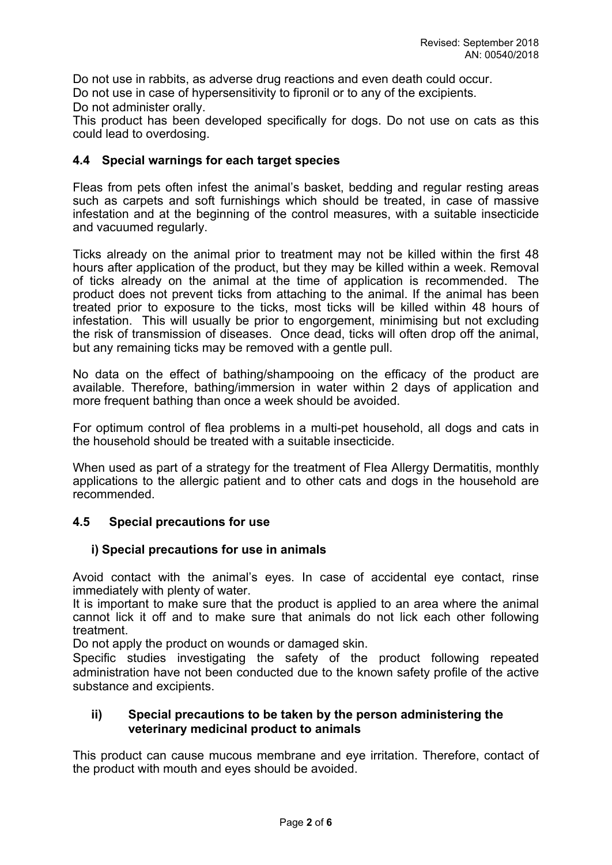Do not use in rabbits, as adverse drug reactions and even death could occur. Do not use in case of hypersensitivity to fipronil or to any of the excipients.

Do not administer orally.

This product has been developed specifically for dogs. Do not use on cats as this could lead to overdosing.

#### **4.4 Special warnings for each target species**

Fleas from pets often infest the animal's basket, bedding and regular resting areas such as carpets and soft furnishings which should be treated, in case of massive infestation and at the beginning of the control measures, with a suitable insecticide and vacuumed regularly.

Ticks already on the animal prior to treatment may not be killed within the first 48 hours after application of the product, but they may be killed within a week. Removal of ticks already on the animal at the time of application is recommended. The product does not prevent ticks from attaching to the animal. If the animal has been treated prior to exposure to the ticks, most ticks will be killed within 48 hours of infestation. This will usually be prior to engorgement, minimising but not excluding the risk of transmission of diseases. Once dead, ticks will often drop off the animal, but any remaining ticks may be removed with a gentle pull.

No data on the effect of bathing/shampooing on the efficacy of the product are available. Therefore, bathing/immersion in water within 2 days of application and more frequent bathing than once a week should be avoided.

For optimum control of flea problems in a multi-pet household, all dogs and cats in the household should be treated with a suitable insecticide.

When used as part of a strategy for the treatment of Flea Allergy Dermatitis, monthly applications to the allergic patient and to other cats and dogs in the household are recommended.

## **4.5 Special precautions for use**

## **i) Special precautions for use in animals**

Avoid contact with the animal's eyes. In case of accidental eye contact, rinse immediately with plenty of water.

It is important to make sure that the product is applied to an area where the animal cannot lick it off and to make sure that animals do not lick each other following treatment.

Do not apply the product on wounds or damaged skin.

Specific studies investigating the safety of the product following repeated administration have not been conducted due to the known safety profile of the active substance and excipients.

#### **ii) Special precautions to be taken by the person administering the veterinary medicinal product to animals**

This product can cause mucous membrane and eye irritation. Therefore, contact of the product with mouth and eyes should be avoided.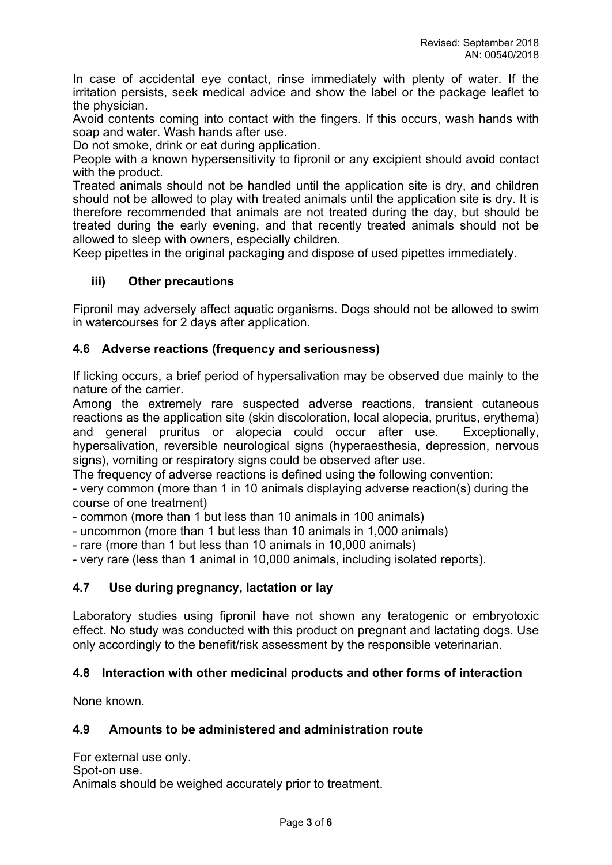In case of accidental eye contact, rinse immediately with plenty of water. If the irritation persists, seek medical advice and show the label or the package leaflet to the physician.

Avoid contents coming into contact with the fingers. If this occurs, wash hands with soap and water. Wash hands after use.

Do not smoke, drink or eat during application.

People with a known hypersensitivity to fipronil or any excipient should avoid contact with the product.

Treated animals should not be handled until the application site is dry, and children should not be allowed to play with treated animals until the application site is dry. It is therefore recommended that animals are not treated during the day, but should be treated during the early evening, and that recently treated animals should not be allowed to sleep with owners, especially children.

Keep pipettes in the original packaging and dispose of used pipettes immediately.

## **iii) Other precautions**

Fipronil may adversely affect aquatic organisms. Dogs should not be allowed to swim in watercourses for 2 days after application.

## **4.6 Adverse reactions (frequency and seriousness)**

If licking occurs, a brief period of hypersalivation may be observed due mainly to the nature of the carrier.

Among the extremely rare suspected adverse reactions, transient cutaneous reactions as the application site (skin discoloration, local alopecia, pruritus, erythema) and general pruritus or alopecia could occur after use. Exceptionally, hypersalivation, reversible neurological signs (hyperaesthesia, depression, nervous signs), vomiting or respiratory signs could be observed after use.

The frequency of adverse reactions is defined using the following convention:

- very common (more than 1 in 10 animals displaying adverse reaction(s) during the course of one treatment)

- common (more than 1 but less than 10 animals in 100 animals)
- uncommon (more than 1 but less than 10 animals in 1,000 animals)
- rare (more than 1 but less than 10 animals in 10,000 animals)

- very rare (less than 1 animal in 10,000 animals, including isolated reports).

## **4.7 Use during pregnancy, lactation or lay**

Laboratory studies using fipronil have not shown any teratogenic or embryotoxic effect. No study was conducted with this product on pregnant and lactating dogs. Use only accordingly to the benefit/risk assessment by the responsible veterinarian.

#### **4.8 Interaction with other medicinal products and other forms of interaction**

None known.

## **4.9 Amounts to be administered and administration route**

For external use only. Spot-on use. Animals should be weighed accurately prior to treatment.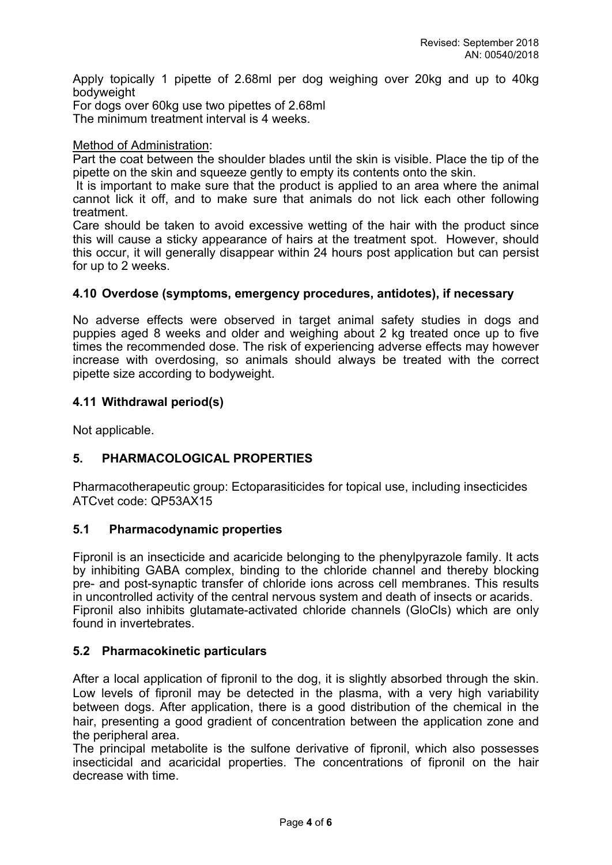Apply topically 1 pipette of 2.68ml per dog weighing over 20kg and up to 40kg bodyweight

For dogs over 60kg use two pipettes of 2.68ml The minimum treatment interval is 4 weeks.

#### Method of Administration:

Part the coat between the shoulder blades until the skin is visible. Place the tip of the pipette on the skin and squeeze gently to empty its contents onto the skin.

 It is important to make sure that the product is applied to an area where the animal cannot lick it off, and to make sure that animals do not lick each other following treatment.

Care should be taken to avoid excessive wetting of the hair with the product since this will cause a sticky appearance of hairs at the treatment spot. However, should this occur, it will generally disappear within 24 hours post application but can persist for up to 2 weeks.

## **4.10 Overdose (symptoms, emergency procedures, antidotes), if necessary**

No adverse effects were observed in target animal safety studies in dogs and puppies aged 8 weeks and older and weighing about 2 kg treated once up to five times the recommended dose. The risk of experiencing adverse effects may however increase with overdosing, so animals should always be treated with the correct pipette size according to bodyweight.

#### **4.11 Withdrawal period(s)**

Not applicable.

## **5. PHARMACOLOGICAL PROPERTIES**

Pharmacotherapeutic group: Ectoparasiticides for topical use, including insecticides ATCvet code: QP53AX15

## **5.1 Pharmacodynamic properties**

Fipronil is an insecticide and acaricide belonging to the phenylpyrazole family. It acts by inhibiting GABA complex, binding to the chloride channel and thereby blocking pre- and post-synaptic transfer of chloride ions across cell membranes. This results in uncontrolled activity of the central nervous system and death of insects or acarids. Fipronil also inhibits glutamate-activated chloride channels (GloCls) which are only found in invertebrates.

#### **5.2 Pharmacokinetic particulars**

After a local application of fipronil to the dog, it is slightly absorbed through the skin. Low levels of fipronil may be detected in the plasma, with a very high variability between dogs. After application, there is a good distribution of the chemical in the hair, presenting a good gradient of concentration between the application zone and the peripheral area.

The principal metabolite is the sulfone derivative of fipronil, which also possesses insecticidal and acaricidal properties. The concentrations of fipronil on the hair decrease with time.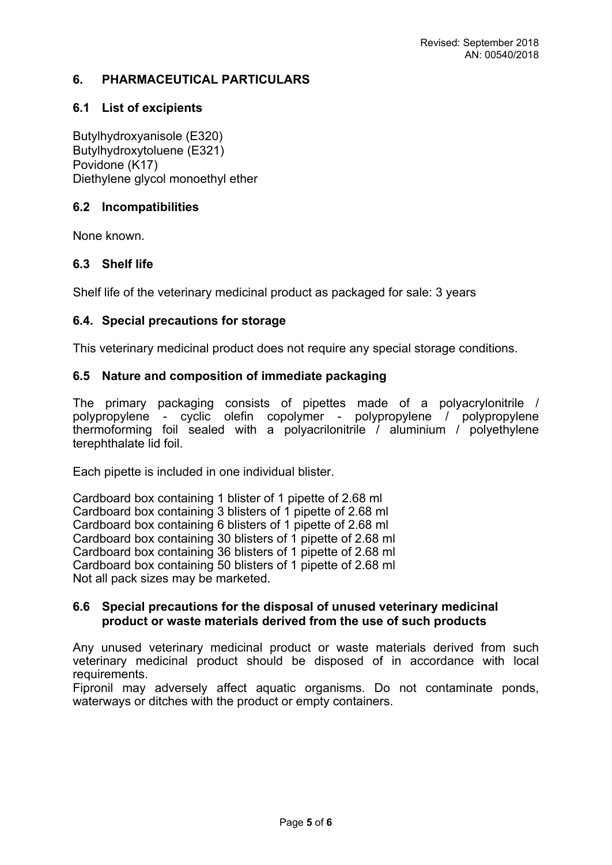## **6. PHARMACEUTICAL PARTICULARS**

## **6.1 List of excipients**

Butylhydroxyanisole (E320) Butylhydroxytoluene (E321) Povidone (K17) Diethylene glycol monoethyl ether

## **6.2 Incompatibilities**

None known.

## **6.3 Shelf life**

Shelf life of the veterinary medicinal product as packaged for sale: 3 years

#### **6.4. Special precautions for storage**

This veterinary medicinal product does not require any special storage conditions.

## **6.5 Nature and composition of immediate packaging**

The primary packaging consists of pipettes made of a polyacrylonitrile / polypropylene - cyclic olefin copolymer - polypropylene / polypropylene thermoforming foil sealed with a polyacrilonitrile / aluminium / polyethylene terephthalate lid foil.

Each pipette is included in one individual blister.

Cardboard box containing 1 blister of 1 pipette of 2.68 ml Cardboard box containing 3 blisters of 1 pipette of 2.68 ml Cardboard box containing 6 blisters of 1 pipette of 2.68 ml Cardboard box containing 30 blisters of 1 pipette of 2.68 ml Cardboard box containing 36 blisters of 1 pipette of 2.68 ml Cardboard box containing 50 blisters of 1 pipette of 2.68 ml Not all pack sizes may be marketed.

#### **6.6 Special precautions for the disposal of unused veterinary medicinal product or waste materials derived from the use of such products**

Any unused veterinary medicinal product or waste materials derived from such veterinary medicinal product should be disposed of in accordance with local requirements.

Fipronil may adversely affect aquatic organisms. Do not contaminate ponds, waterways or ditches with the product or empty containers.